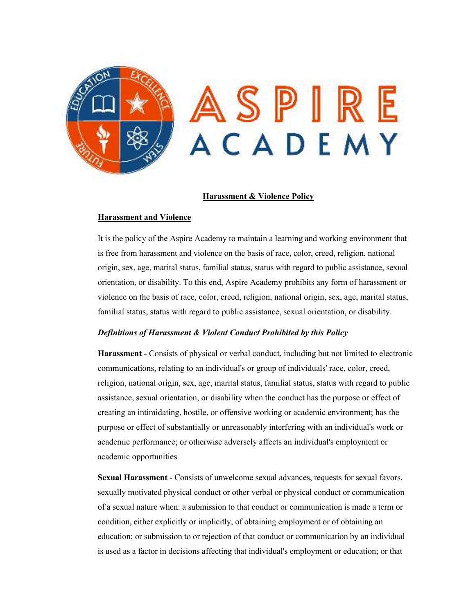

### **Harassment & Violence Policy**

### **Harassment and Violence**

It is the policy of the Aspire Academy to maintain a learning and working environment that is free from harassment and violence on the basis of race, color, creed, religion, national origin, sex, age, marital status, familial status, status with regard to public assistance, sexual orientation, or disability. To this end, Aspire Academy prohibits any form of harassment or violence on the basis of race, color, creed, religion, national origin, sex, age, marital status, familial status, status with regard to public assistance, sexual orientation, or disability.

# *Definitions of Harassment & Violent Conduct Prohibited by this Policy*

**Harassment -** Consists of physical or verbal conduct, including but not limited to electronic communications, relating to an individual's or group of individuals' race, color, creed, religion, national origin, sex, age, marital status, familial status, status with regard to public assistance, sexual orientation, or disability when the conduct has the purpose or effect of creating an intimidating, hostile, or offensive working or academic environment; has the purpose or effect of substantially or unreasonably interfering with an individual's work or academic performance; or otherwise adversely affects an individual's employment or academic opportunities

**Sexual Harassment -** Consists of unwelcome sexual advances, requests for sexual favors, sexually motivated physical conduct or other verbal or physical conduct or communication of a sexual nature when: a submission to that conduct or communication is made a term or condition, either explicitly or implicitly, of obtaining employment or of obtaining an education; or submission to or rejection of that conduct or communication by an individual is used as a factor in decisions affecting that individual's employment or education; or that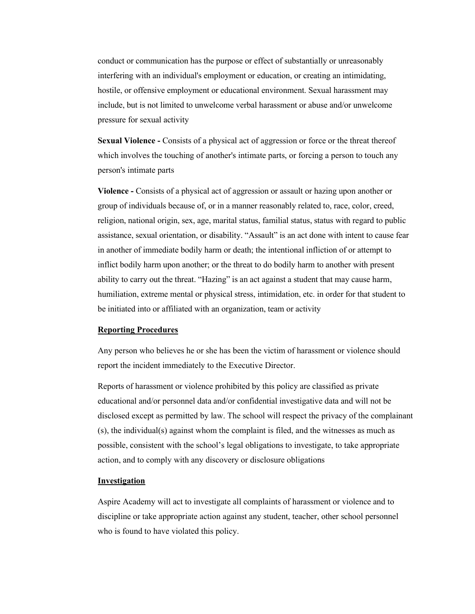conduct or communication has the purpose or effect of substantially or unreasonably interfering with an individual's employment or education, or creating an intimidating, hostile, or offensive employment or educational environment. Sexual harassment may include, but is not limited to unwelcome verbal harassment or abuse and/or unwelcome pressure for sexual activity

**Sexual Violence -** Consists of a physical act of aggression or force or the threat thereof which involves the touching of another's intimate parts, or forcing a person to touch any person's intimate parts

**Violence -** Consists of a physical act of aggression or assault or hazing upon another or group of individuals because of, or in a manner reasonably related to, race, color, creed, religion, national origin, sex, age, marital status, familial status, status with regard to public assistance, sexual orientation, or disability. "Assault" is an act done with intent to cause fear in another of immediate bodily harm or death; the intentional infliction of or attempt to inflict bodily harm upon another; or the threat to do bodily harm to another with present ability to carry out the threat. "Hazing" is an act against a student that may cause harm, humiliation, extreme mental or physical stress, intimidation, etc. in order for that student to be initiated into or affiliated with an organization, team or activity

### **Reporting Procedures**

Any person who believes he or she has been the victim of harassment or violence should report the incident immediately to the Executive Director.

Reports of harassment or violence prohibited by this policy are classified as private educational and/or personnel data and/or confidential investigative data and will not be disclosed except as permitted by law. The school will respect the privacy of the complainant (s), the individual(s) against whom the complaint is filed, and the witnesses as much as possible, consistent with the school's legal obligations to investigate, to take appropriate action, and to comply with any discovery or disclosure obligations

## **Investigation**

Aspire Academy will act to investigate all complaints of harassment or violence and to discipline or take appropriate action against any student, teacher, other school personnel who is found to have violated this policy.